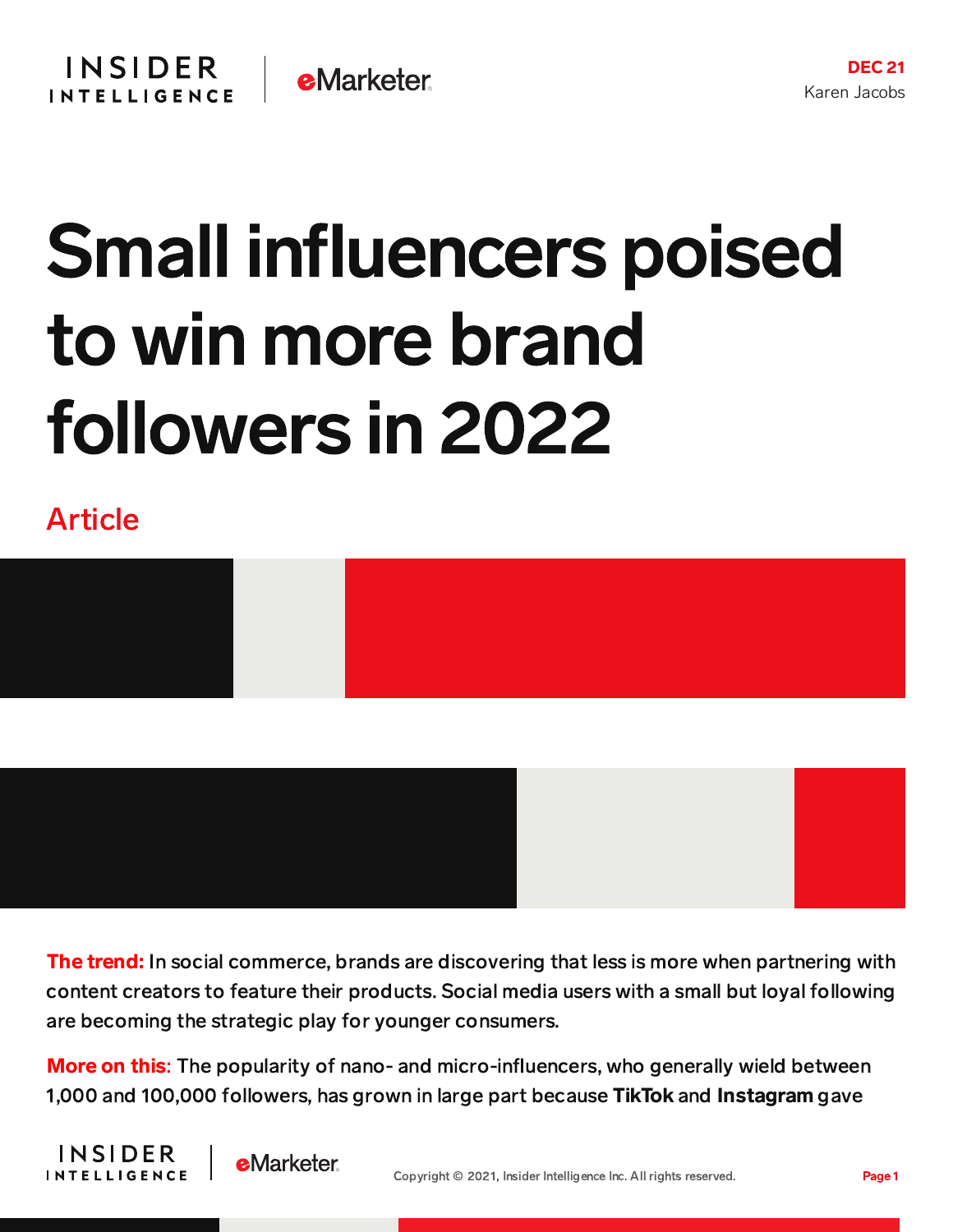## Small influencers poised to win more brand followers in 2022

Article





**The trend:** In social commerce, brands are discovering that less is more when partnering with content creators to feature their products. Social media users with a small but loyal following are becoming the strategic play for younger consumers.

**More on this:** The popularity of nano- and micro-influencers, who generally wield between 1,000 and 100,000 followers, has grown in large part because TikTok and Instagram gave



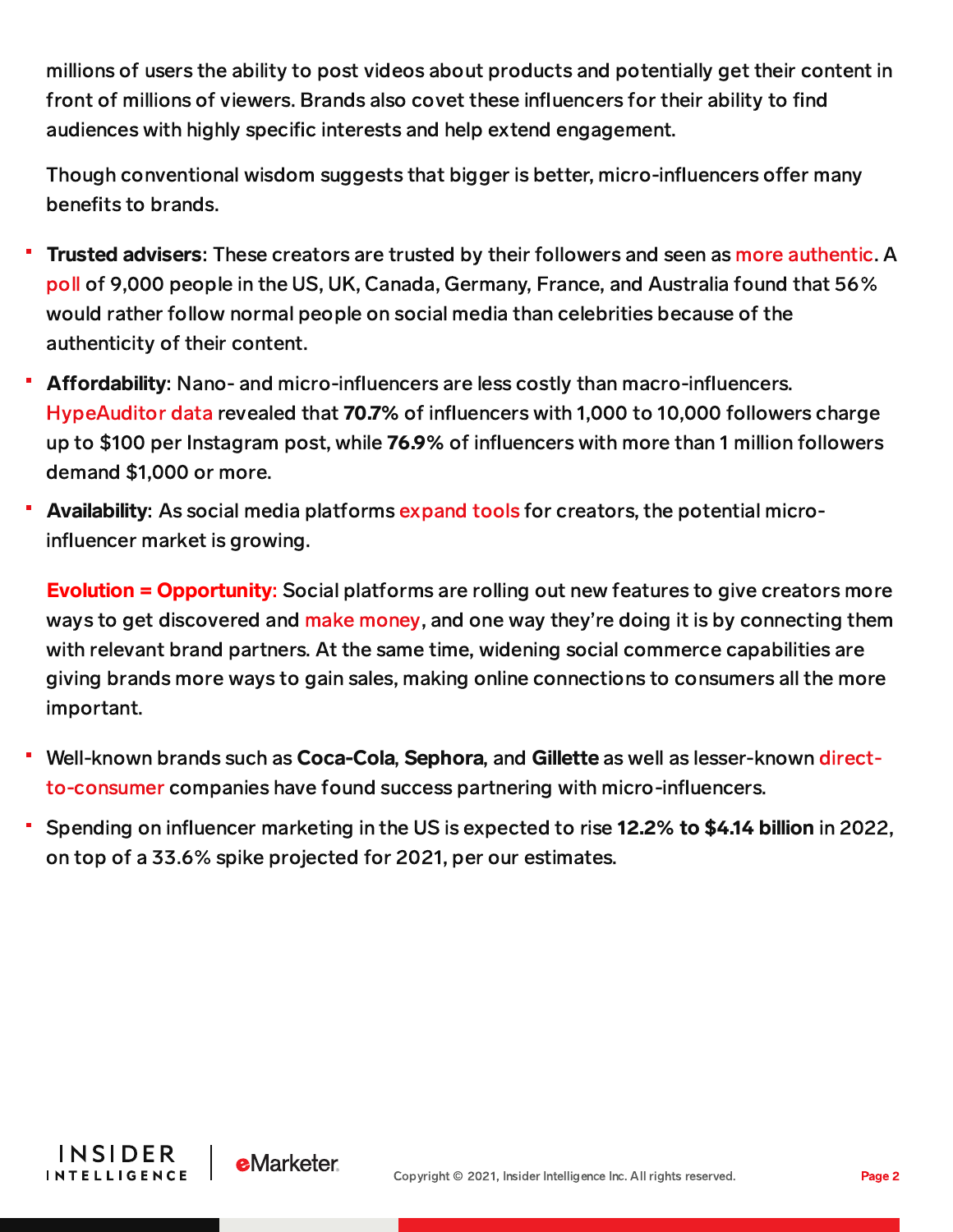millions of users the ability to post videos about products and potentially get their content in front of millions of viewers. Brands also covet these influencers for their ability to find audiences with highly specific interests and help extend engagement.

Though conventional wisdom suggests that bigger is better, micro-influencers offer many benefits to brands.

- **Trusted advisers:** These creators are trusted by their followers and seen as more [authentic.](https://content-na1.emarketer.com/influencer-marketing-reached-new-heights-2021) A [poll](https://www.prweek.com/article/1724983/celebrity-influencers-losing-touch?mkt_tok=ODUwLVRBQS01MTEAAAF--DiCLTdN4K7TBBYX2lKEiwz8Iiegx6Xry8Wl2CGli8qSciGVQY4oBl0r51wcniZCZ_bmk2BKhoap6kduZWZTdqn9tYa6DvxceurlaXEbmObY) of 9,000 people in the US, UK, Canada, Germany, France, and Australia found that 56% would rather follow normal people on social media than celebrities because of the authenticity of their content.
- Affordability: Nano- and micro-influencers are less costly than macro-influencers. [HypeAuditor](https://content-na1.emarketer.com/mirco-influencers-present-macro-opportunities) data revealed that 70.7% of influencers with 1,000 to 10,000 followers charge up to \$100 per Instagram post, while 76.9% of influencers with more than 1 million followers demand \$1,000 or more.
- Availability: As social media platforms [expand](https://content-na1.emarketer.com/social-media-platforms-offer-yet-more-tools-capitalize-on-commercial-promise-of-creator-economy) tools for creators, the potential microinfluencer market is growing.

**Evolution = Opportunity:** Social platforms are rolling out new features to give creators more ways to get discovered and make [money,](https://content-na1.emarketer.com/influencer-monetization-2021) and one way they're doing it is by connecting them with relevant brand partners. At the same time, widening social commerce capabilities are giving brands more ways to gain sales, making online connections to consumers all the more important.

- Well-known brands such as Coca-Cola, Sephora, and Gillette as well as lesser-known directto-consumer companies have found success partnering with [micro-influencers.](https://digiday.com/marketing/a-cost-effective-option-why-dtc-brands-are-believing-in-micro-influencers/)
- Spending on influencer marketing in the US is expected to rise 12.2% to \$4.14 billion in 2022, on top of a 33.6% spike projected for 2021, per our estimates.